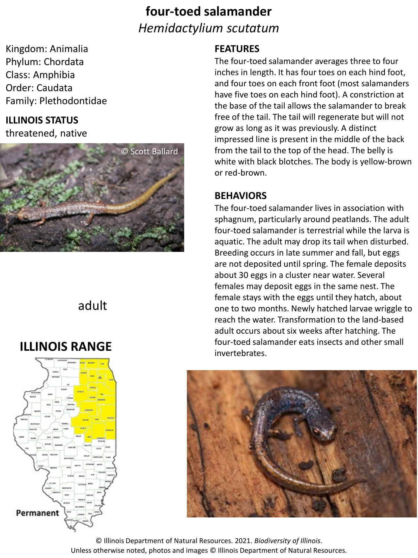## **four-toed salamander** *Hemidactylium scutatum*

Kingdom: Animalia Phylum: Chordata Class: Amphibia Order: Caudata Family: Plethodontidae

### **ILLINOIS STATUS**

threatened, native



### adult

## **ILLINOIS RANGE**



#### **FEATURES**

The four-toed salamander averages three to four inches in length. It has four toes on each hind foot, and four toes on each front foot (most salamanders have five toes on each hind foot). A constriction at the base of the tail allows the salamander to break free of the tail. The tail will regenerate but will not grow as long as it was previously. A distinct impressed line is present in the middle of the back from the tail to the top of the head. The belly is white with black blotches. The body is yellow-brown or red-brown.

#### **BEHAVIORS**

The four-toed salamander lives in association with sphagnum, particularly around peatlands. The adult four-toed salamander is terrestrial while the larva is aquatic. The adult may drop its tail when disturbed. Breeding occurs in late summer and fall, but eggs are not deposited until spring. The female deposits about 30 eggs in a cluster near water. Several females may deposit eggs in the same nest. The female stays with the eggs until they hatch, about one to two months. Newly hatched larvae wriggle to reach the water. Transformation to the land-based adult occurs about six weeks after hatching. The four-toed salamander eats insects and other small invertebrates.



© Illinois Department of Natural Resources. 2021. *Biodiversity of Illinois*. Unless otherwise noted, photos and images © Illinois Department of Natural Resources.